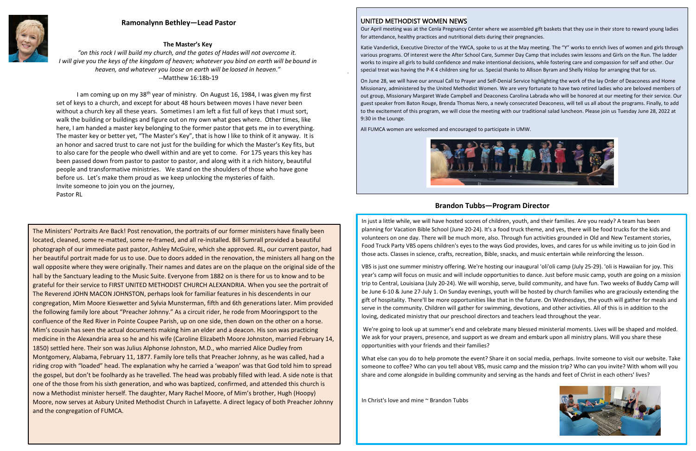

### UNITED METHODIST WOMEN NEWS

Our April meeting was at the Cenla Pregnancy Center where we assembled gift baskets that they use in their store to reward young ladies for attendance, healthy practices and nutritional diets during their pregnancies.

Katie Vanderlick, Executive Director of the YWCA, spoke to us at the May meeting. The "Y" works to enrich lives of women and girls through various programs. Of interest were the After School Care, Summer Day Camp that includes swim lessons and Girls on the Run. The ladder works to inspire all girls to build confidence and make intentional decisions, while fostering care and compassion for self and other. Our special treat was having the P-K 4 children sing for us. Special thanks to Allison Byram and Shelly Hislop for arranging that for us.

On June 28, we will have our annual Call to Prayer and Self-Denial Service highlighting the work of the lay Order of Deaconess and Home Missionary, administered by the United Methodist Women. We are very fortunate to have two retired ladies who are beloved members of out group, Missionary Margaret Wade Campbell and Deaconess Carolina Labrada who will be honored at our meeting for their service. Our guest speaker from Baton Rouge, Brenda Thomas Nero, a newly consecrated Deaconess, will tell us all about the programs. Finally, to add to the excitement of this program, we will close the meeting with our traditional salad luncheon. Please join us Tuesday June 28, 2022 at 9:30 in the Lounge.

I am coming up on my 38<sup>th</sup> year of ministry. On August 16, 1984, I was given my first set of keys to a church, and except for about 48 hours between moves I have never been without a church key all these years. Sometimes I am left a fist full of keys that I must sort, walk the building or buildings and figure out on my own what goes where. Other times, like here, I am handed a master key belonging to the former pastor that gets me in to everything. The master key or better yet, "The Master's Key", that is how I like to think of it anyway. It is an honor and sacred trust to care not just for the building for which the Master's Key fits, but to also care for the people who dwell within and are yet to come. For 175 years this key has been passed down from pastor to pastor to pastor, and along with it a rich history, beautiful people and transformative ministries. We stand on the shoulders of those who have gone before us. Let's make them proud as we keep unlocking the mysteries of faith. Invite someone to join you on the journey, Pastor RL

All FUMCA women are welcomed and encouraged to participate in UMW.



# **Ramonalynn Bethley—Lead Pastor**

## **Brandon Tubbs—Program Director**

### **The Master's Key**

*"on this rock I will build my church, and the gates of Hades will not overcome it. I will give you the keys of the kingdom of heaven; whatever you bind on earth will be bound in heaven, and whatever you loose on earth will be loosed in heaven*.*"*  --Matthew 16:18b-19

> In just a little while, we will have hosted scores of children, youth, and their families. Are you ready? A team has been planning for Vacation Bible School (June 20-24). It's a food truck theme, and yes, there will be food trucks for the kids and volunteers on one day. There will be much more, also. Through fun activities grounded in Old and New Testament stories, Food Truck Party VBS opens children's eyes to the ways God provides, loves, and cares for us while inviting us to join God in those acts. Classes in science, crafts, recreation, Bible, snacks, and music entertain while reinforcing the lesson.

VBS is just one summer ministry offering. We're hosting our inaugural 'oli'oli camp (July 25-29). 'oli is Hawaiian for joy. This year's camp will focus on music and will include opportunities to dance. Just before music camp, youth are going on a mission trip to Central, Louisiana (July 20-24). We will worship, serve, build community, and have fun. Two weeks of Buddy Camp will be June 6-10 & June 27-July 1. On Sunday evenings, youth will be hosted by church families who are graciously extending the gift of hospitality. There'll be more opportunities like that in the future. On Wednesdays, the youth will gather for meals and serve in the community. Children will gather for swimming, devotions, and other activities. All of this is in addition to the loving, dedicated ministry that our preschool directors and teachers lead throughout the year.

We're going to look up at summer's end and celebrate many blessed ministerial moments. Lives will be shaped and molded. We ask for your prayers, presence, and support as we dream and embark upon all ministry plans. Will you share these opportunities with your friends and their families?

What else can you do to help promote the event? Share it on social media, perhaps. Invite someone to visit our website. Take someone to coffee? Who can you tell about VBS, music camp and the mission trip? Who can you invite? With whom will you share and come alongside in building community and serving as the hands and feet of Christ in each others' lives?

In Christ's love and mine ~ Brandon Tubbs



The Ministers' Portraits Are Back! Post renovation, the portraits of our former ministers have finally been located, cleaned, some re-matted, some re-framed, and all re-installed. Bill Sumrall provided a beautiful photograph of our immediate past pastor, Ashley McGuire, which she approved. RL, our current pastor, had her beautiful portrait made for us to use. Due to doors added in the renovation, the ministers all hang on the wall opposite where they were originally. Their names and dates are on the plaque on the original side of the hall by the Sanctuary leading to the Music Suite. Everyone from 1882 on is there for us to know and to be grateful for their service to FIRST UNITED METHODIST CHURCH ALEXANDRIA. When you see the portrait of The Reverend JOHN MACON JOHNSTON, perhaps look for familiar features in his descendents in our congregation, Mim Moore Kieswetter and Sylvia Munsterman, fifth and 6th generations later. Mim provided the following family lore about "Preacher Johnny." As a circuit rider, he rode from Mooringsport to the confluence of the Red River in Pointe Coupee Parish, up on one side, then down on the other on a horse. Mim's cousin has seen the actual documents making him an elder and a deacon. His son was practicing medicine in the Alexandria area so he and his wife (Caroline Elizabeth Moore Johnston, married February 14, 1850) settled here. Their son was Julius Alphonse Johnston, M.D., who married Alice Dudley from Montgomery, Alabama, February 11, 1877. Family lore tells that Preacher Johnny, as he was called, had a riding crop with "loaded" head. The explanation why he carried a 'weapon' was that God told him to spread the gospel, but don't be foolhardy as he travelled. The head was probably filled with lead. A side note is that one of the those from his sixth generation, and who was baptized, confirmed, and attended this church is now a Methodist minister herself. The daughter, Mary Rachel Moore, of Mim's brother, Hugh (Hoopy) Moore, now serves at Asbury United Methodist Church in Lafayette. A direct legacy of both Preacher Johnny and the congregation of FUMCA.